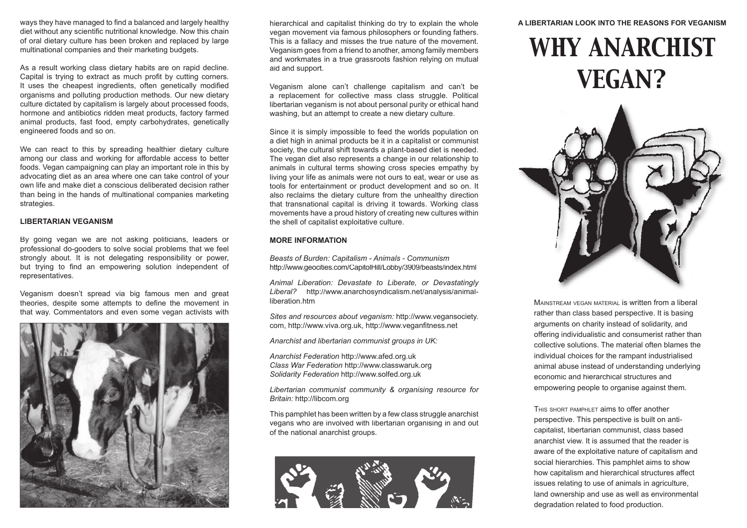ways they have managed to find a balanced and largely healthy diet without any scientific nutritional knowledge. Now this chain of oral dietary culture has been broken and replaced by large multinational companies and their marketing budgets.

As a result working class dietary habits are on rapid decline. Capital is trying to extract as much profit by cutting corners. It uses the cheapest ingredients, often genetically modified organisms and polluting production methods. Our new dietary culture dictated by capitalism is largely about processed foods, hormone and antibiotics ridden meat products, factory farmed animal products, fast food, empty carbohydrates, genetically engineered foods and so on.

We can react to this by spreading healthier dietary culture among our class and working for affordable access to better foods. Vegan campaigning can play an important role in this by advocating diet as an area where one can take control of your own life and make diet a conscious deliberated decision rather than being in the hands of multinational companies marketing strategies.

#### **LIBERTARIAN VEGANISM**

By going vegan we are not asking politicians, leaders or professional do-gooders to solve social problems that we feel strongly about. It is not delegating responsibility or power, but trying to find an empowering solution independent of representatives.

Veganism doesn't spread via big famous men and great theories, despite some attempts to define the movement in that way. Commentators and even some vegan activists with



hierarchical and capitalist thinking do try to explain the whole vegan movement via famous philosophers or founding fathers. This is a fallacy and misses the true nature of the movement. Veganism goes from a friend to another, among family members and workmates in a true grassroots fashion relying on mutual aid and support.

Veganism alone can't challenge capitalism and can't be a replacement for collective mass class struggle. Political libertarian veganism is not about personal purity or ethical hand washing, but an attempt to create a new dietary culture.

Since it is simply impossible to feed the worlds population on a diet high in animal products be it in a capitalist or communist society, the cultural shift towards a plant-based diet is needed. The vegan diet also represents a change in our relationship to animals in cultural terms showing cross species empathy by living your life as animals were not ours to eat, wear or use as tools for entertainment or product development and so on. It also reclaims the dietary culture from the unhealthy direction that transnational capital is driving it towards. Working class movements have a proud history of creating new cultures within the shell of capitalist exploitative culture.

#### **MORE INFORMATION**

*Beasts of Burden: Capitalism - Animals - Communism*  http://www.geocities.com/CapitolHill/Lobby/3909/beasts/index.html

*Animal Liberation: Devastate to Liberate, or Devastatingly Liberal?* http://www.anarchosyndicalism.net/analysis/animalliberation.htm

*Sites and resources about veganism:* http://www.vegansociety. com, http://www.viva.org.uk, http://www.veganfitness.net

*Anarchist and libertarian communist groups in UK:*

*Anarchist Federation* http://www.afed.org.uk *Class War Federation* http://www.classwaruk.org *Solidarity Federation* http://www.solfed.org.uk

*Libertarian communist community & organising resource for Britain:* http://libcom.org

This pamphlet has been written by a few class struggle anarchist vegans who are involved with libertarian organising in and out of the national anarchist groups.



#### **A LIBERTARIAN LOOK INTO THE REASONS FOR VEGANISM**

# *WHY ANARCHIST VEGAN?*



MAINSTREAM VEGAN MATERIAL is written from a liberal rather than class based perspective. It is basing arguments on charity instead of solidarity, and offering individualistic and consumerist rather than collective solutions. The material often blames the individual choices for the rampant industrialised animal abuse instead of understanding underlying economic and hierarchical structures and empowering people to organise against them.

THIS SHORT PAMPHLET aims to offer another perspective. This perspective is built on anticapitalist, libertarian communist, class based anarchist view. It is assumed that the reader is aware of the exploitative nature of capitalism and social hierarchies. This pamphlet aims to show how capitalism and hierarchical structures affect issues relating to use of animals in agriculture, land ownership and use as well as environmental degradation related to food production.